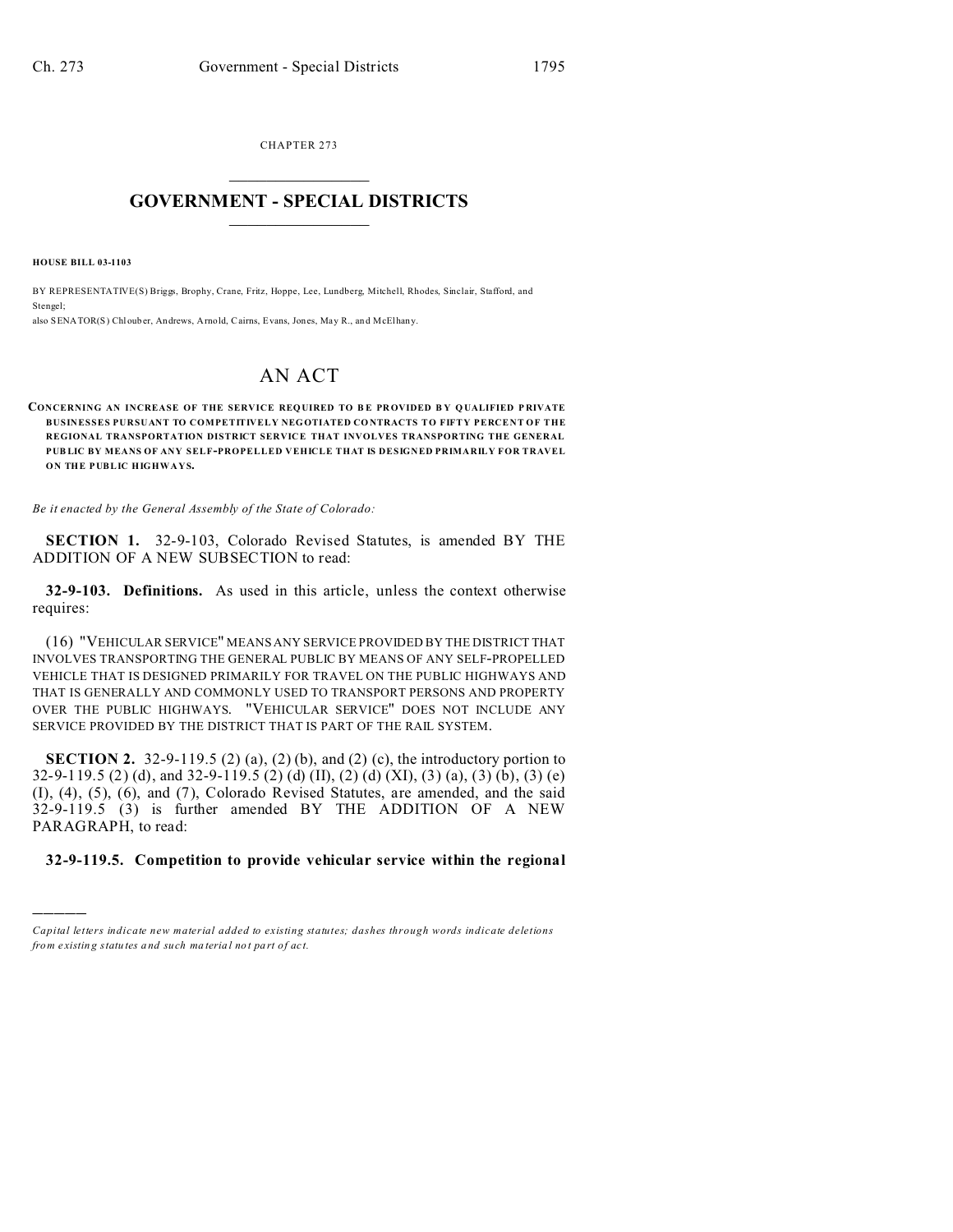CHAPTER 273  $\overline{\phantom{a}}$  , where  $\overline{\phantom{a}}$ 

## **GOVERNMENT - SPECIAL DISTRICTS**  $\_$   $\_$   $\_$   $\_$   $\_$   $\_$   $\_$   $\_$   $\_$

**HOUSE BILL 03-1103**

)))))

BY REPRESENTATIVE(S) Briggs, Brophy, Crane, Fritz, Hoppe, Lee, Lundberg, Mitchell, Rhodes, Sinclair, Stafford, and Stengel; also SENATOR(S) Chloub er, Andrews, Arnold, Cairns, Evans, Jones, May R., and McElhany.

## AN ACT

**CONCERNING AN INCREASE OF THE SERVICE REQUIRED TO B E PR OVIDED B Y Q UALIFIED P RIVATE BUSINESSES PURSUANT TO COMPETITIVELY NEGOTIATED CO NTRACTS TO FIFTY PERCENT OF THE REGIONAL TRANSPORTATION DISTRICT SERVICE THAT INVOLVES TRANSPORTING THE GENERAL PUB LIC BY MEANS OF ANY SELF-PROPELLED VEHICLE THAT IS DESIGNED PRIMARILY FOR TRAVEL ON THE PUBLIC HIGHWAYS.**

*Be it enacted by the General Assembly of the State of Colorado:*

**SECTION 1.** 32-9-103, Colorado Revised Statutes, is amended BY THE ADDITION OF A NEW SUBSECTION to read:

**32-9-103. Definitions.** As used in this article, unless the context otherwise requires:

(16) "VEHICULAR SERVICE" MEANS ANY SERVICE PROVIDED BY THE DISTRICT THAT INVOLVES TRANSPORTING THE GENERAL PUBLIC BY MEANS OF ANY SELF-PROPELLED VEHICLE THAT IS DESIGNED PRIMARILY FOR TRAVEL ON THE PUBLIC HIGHWAYS AND THAT IS GENERALLY AND COMMONLY USED TO TRANSPORT PERSONS AND PROPERTY OVER THE PUBLIC HIGHWAYS. "VEHICULAR SERVICE" DOES NOT INCLUDE ANY SERVICE PROVIDED BY THE DISTRICT THAT IS PART OF THE RAIL SYSTEM.

**SECTION 2.** 32-9-119.5 (2) (a), (2) (b), and (2) (c), the introductory portion to 32-9-119.5 (2) (d), and 32-9-119.5 (2) (d) (II), (2) (d) (XI), (3) (a), (3) (b), (3) (e) (I), (4), (5), (6), and (7), Colorado Revised Statutes, are amended, and the said 32-9-119.5 (3) is further amended BY THE ADDITION OF A NEW PARAGRAPH, to read:

## **32-9-119.5. Competition to provide vehicular service within the regional**

*Capital letters indicate new material added to existing statutes; dashes through words indicate deletions from e xistin g statu tes a nd such ma teria l no t pa rt of ac t.*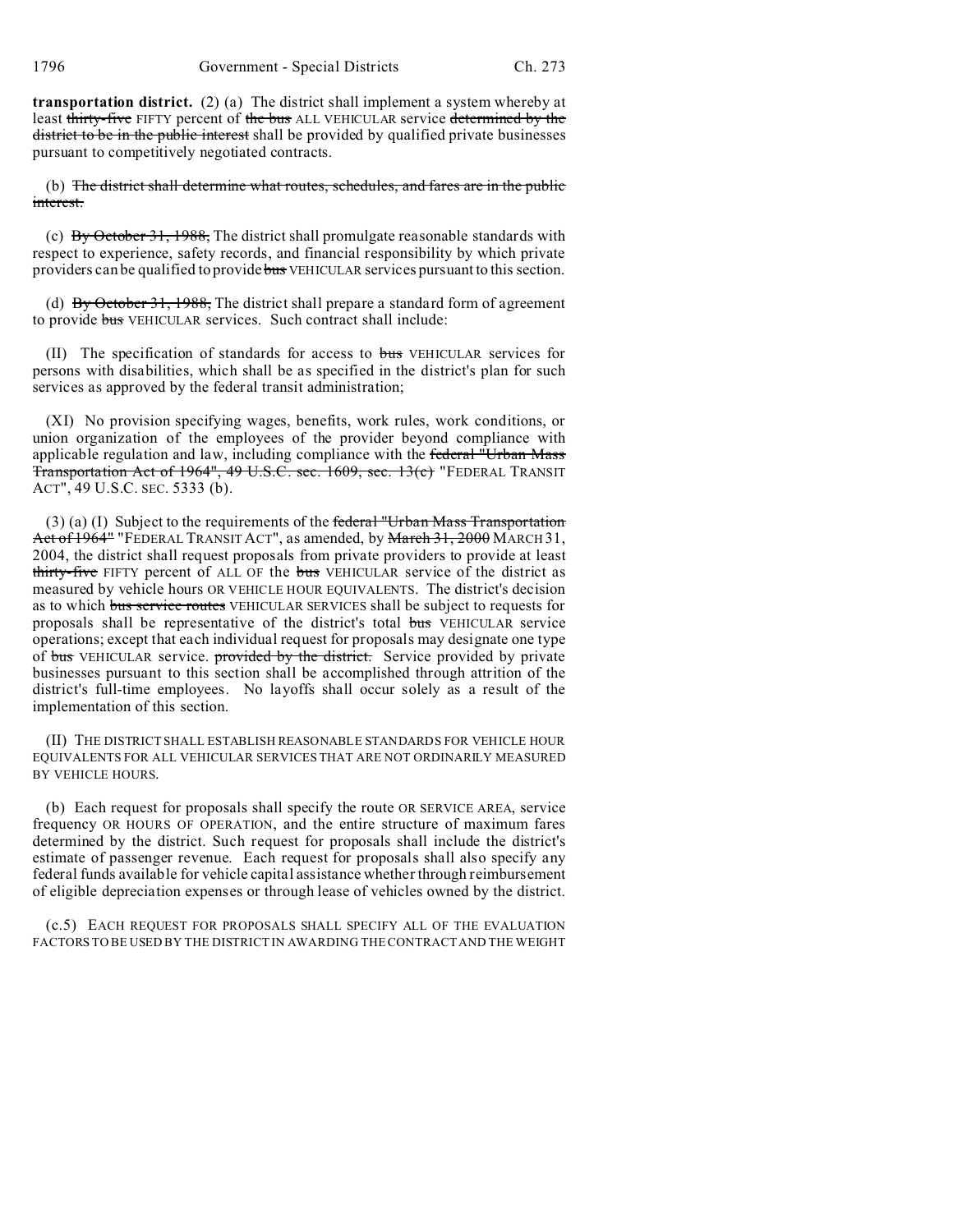**transportation district.** (2) (a) The district shall implement a system whereby at least thirty-five FIFTY percent of the bus ALL VEHICULAR service determined by the district to be in the public interest shall be provided by qualified private businesses pursuant to competitively negotiated contracts.

(b) The district shall determine what routes, schedules, and fares are in the public interest.

(c) By October 31, 1988, The district shall promulgate reasonable standards with respect to experience, safety records, and financial responsibility by which private providers can be qualified to provide bus VEHICULAR services pursuant to this section.

(d)  $\overrightarrow{By October 31, 1988}$ . The district shall prepare a standard form of agreement to provide bus VEHICULAR services. Such contract shall include:

(II) The specification of standards for access to bus VEHICULAR services for persons with disabilities, which shall be as specified in the district's plan for such services as approved by the federal transit administration;

(XI) No provision specifying wages, benefits, work rules, work conditions, or union organization of the employees of the provider beyond compliance with applicable regulation and law, including compliance with the federal "Urban Mass Transportation Act of 1964", 49 U.S.C. sec. 1609, sec. 13(c) "FEDERAL TRANSIT ACT", 49 U.S.C. SEC. 5333 (b).

 $(3)$  (a) (I) Subject to the requirements of the federal "Urban Mass Transportation Act of 1964" "FEDERAL TRANSIT ACT", as amended, by March 31, 2000 MARCH 31, 2004, the district shall request proposals from private providers to provide at least thirty-five FIFTY percent of ALL OF the bus VEHICULAR service of the district as measured by vehicle hours OR VEHICLE HOUR EQUIVALENTS. The district's decision as to which bus service routes VEHICULAR SERVICES shall be subject to requests for proposals shall be representative of the district's total bus VEHICULAR service operations; except that each individual request for proposals may designate one type of bus VEHICULAR service. provided by the district. Service provided by private businesses pursuant to this section shall be accomplished through attrition of the district's full-time employees. No layoffs shall occur solely as a result of the implementation of this section.

(II) THE DISTRICT SHALL ESTABLISH REASONABLE STANDARDS FOR VEHICLE HOUR EQUIVALENTS FOR ALL VEHICULAR SERVICES THAT ARE NOT ORDINARILY MEASURED BY VEHICLE HOURS.

(b) Each request for proposals shall specify the route OR SERVICE AREA, service frequency OR HOURS OF OPERATION, and the entire structure of maximum fares determined by the district. Such request for proposals shall include the district's estimate of passenger revenue. Each request for proposals shall also specify any federal funds available for vehicle capital assistance whether through reimbursement of eligible depreciation expenses or through lease of vehicles owned by the district.

(c.5) EACH REQUEST FOR PROPOSALS SHALL SPECIFY ALL OF THE EVALUATION FACTORS TO BE USED BY THE DISTRICT IN AWARDING THE CONTRACT AND THE WEIGHT